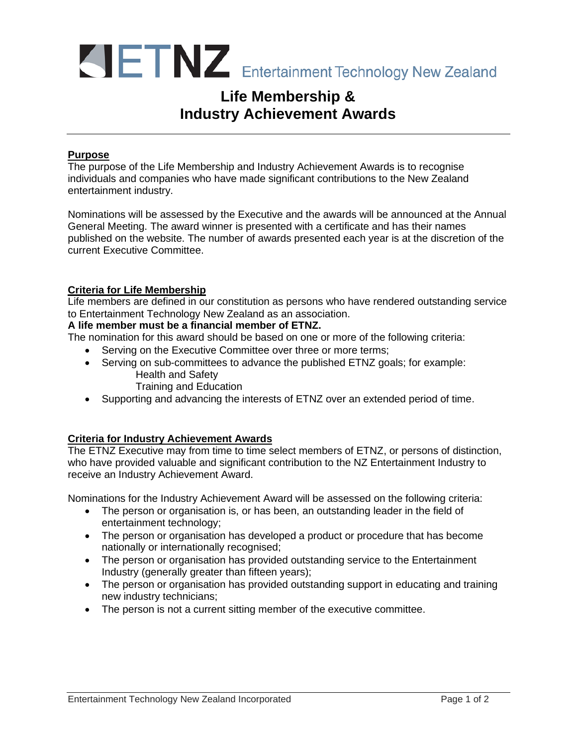

# **Life Membership & Industry Achievement Awards**

### **Purpose**

The purpose of the Life Membership and Industry Achievement Awards is to recognise individuals and companies who have made significant contributions to the New Zealand entertainment industry.

Nominations will be assessed by the Executive and the awards will be announced at the Annual General Meeting. The award winner is presented with a certificate and has their names published on the website. The number of awards presented each year is at the discretion of the current Executive Committee.

#### **Criteria for Life Membership**

Life members are defined in our constitution as persons who have rendered outstanding service to Entertainment Technology New Zealand as an association.

# **A life member must be a financial member of ETNZ.**

The nomination for this award should be based on one or more of the following criteria:

- Serving on the Executive Committee over three or more terms;
- Serving on sub-committees to advance the published ETNZ goals; for example: Health and Safety
	- Training and Education
- Supporting and advancing the interests of ETNZ over an extended period of time.

# **Criteria for Industry Achievement Awards**

The ETNZ Executive may from time to time select members of ETNZ, or persons of distinction, who have provided valuable and significant contribution to the NZ Entertainment Industry to receive an Industry Achievement Award.

Nominations for the Industry Achievement Award will be assessed on the following criteria:

- The person or organisation is, or has been, an outstanding leader in the field of entertainment technology;
- The person or organisation has developed a product or procedure that has become nationally or internationally recognised;
- The person or organisation has provided outstanding service to the Entertainment Industry (generally greater than fifteen years);
- The person or organisation has provided outstanding support in educating and training new industry technicians;
- The person is not a current sitting member of the executive committee.